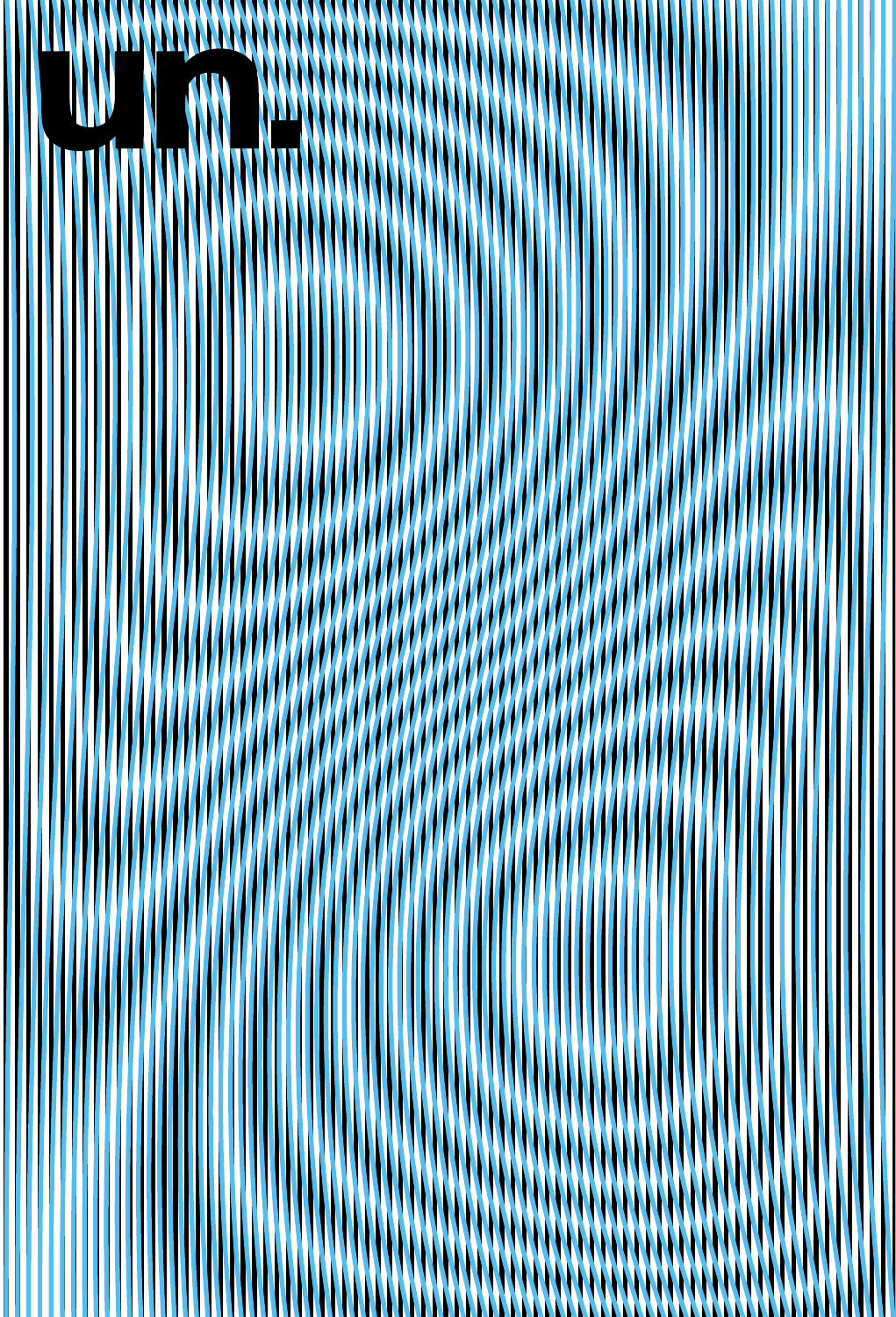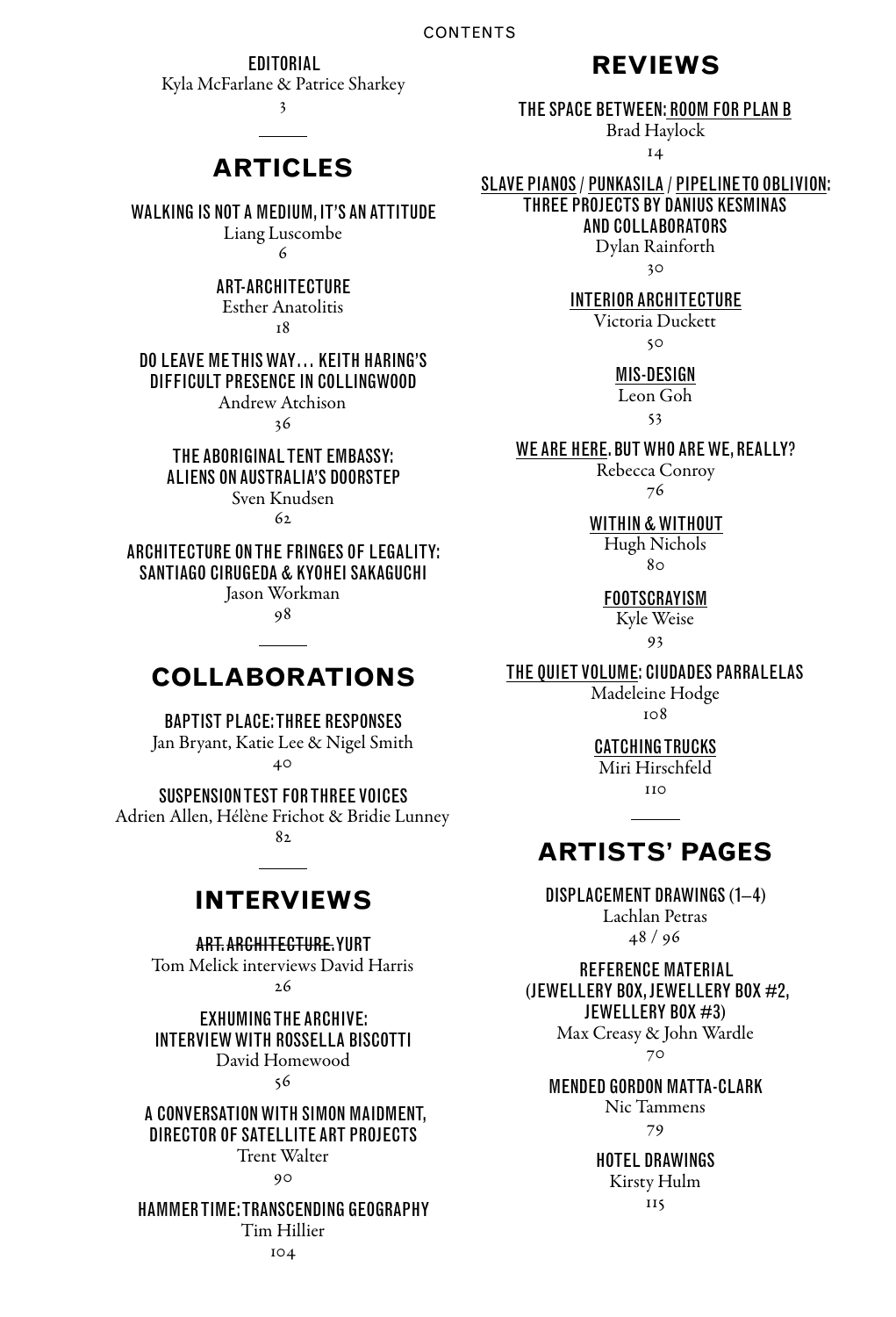**EDITORIAL** 

Kyla McFarlane & Patrice Sharkey

3

# **articles**

WALKING IS NOT A MEDIUM, IT'S AN ATTITUDE

Liang Luscombe  $\epsilon$ 

### art-architecture Esther Anatolitis

 $\mathbf{r}$  $\mathbf{Q}$ 

### Do Leave MeThis Way… Keith Haring's difficult presence in Collingwood

Andrew Atchison

36

#### The Aboriginal Tent Embassy: aliens on Australia's doorstep Sven Knudsen

 $62$ 

Architecture on the fringes of legality: Santiago Cirugeda & Kyohei Sakaguchi Jason Workman

98

# **collaborations**

# Baptist Place: Three Responses

Jan Bryant, Katie Lee & Nigel Smith 40

Suspension Test for Three Voices Adrien Allen, Hélène Frichot & Bridie Lunney

82

# **interviews**

Art.Architecture.Yurt Tom Melick interviews David Harris 26

Exhuming the Archive: Interviewwith Rossella Biscotti David Homewood 56

#### A conversation with Simon Maidment, director of Satellite Art Projects Trent Walter

 $90$ 

### Hammer Time: transcending geography

Tim Hillier

104

# **reviews**

### The space between: Room for plan b

Brad Haylock 14

### Slave Pianos / Punkasila / Pipeline to Oblivion: Three Projects by Danius Kesminas and Collaborators

Dylan Rainforth

30

#### interior architecture

Victoria Duckett 50

mis-design Leon Goh

 $53$ 

### WE ARE HERE. BUT WHO ARE WE, REALLY?

Rebecca Conroy 76

#### Within & Without

Hugh Nichols  $8<sub>0</sub>$ 

# **FOOTSCRAYISM**

Kyle Weise

93

### The Quiet Volume: Ciudades Parralelas

Madeleine Hodge 108

#### catching trucks

Miri Hirschfeld  $110$ 

# **artists' pages**

## Displacement Drawings (1–4) Lachlan Petras

48 / 96

#### Reference Material (Jewellery Box, Jewellery Box #2, Jewellery Box #3) Max Creasy & John Wardle

70

#### Mended Gordon Matta-Clark Nic Tammens

79

# Hotel Drawings Kirsty Hulm

 $\frac{115}{115}$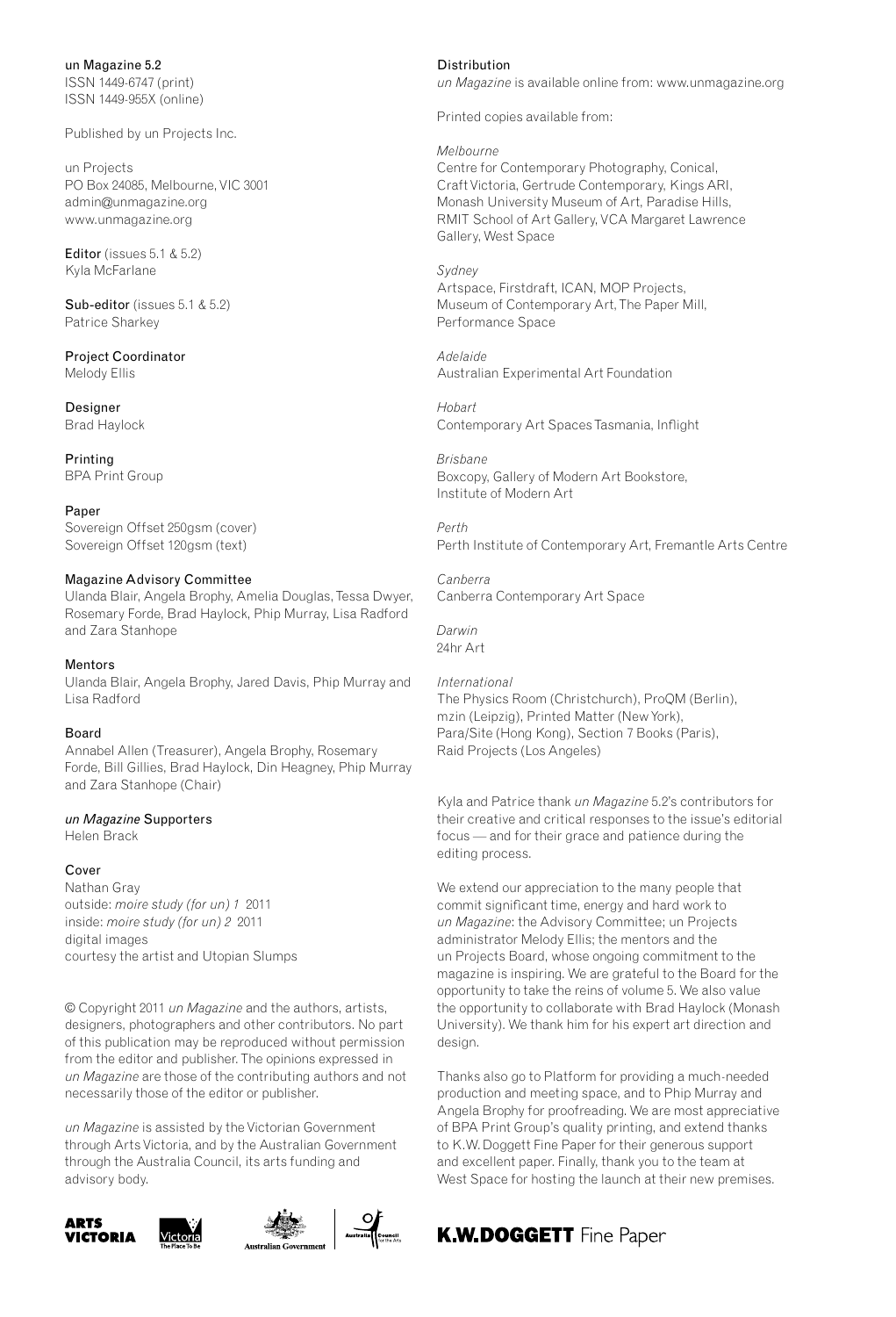un Magazine 5.2 ISSN 1449-6747 (print) ISSN 1449-955X (online)

Published by un Projects Inc.

un Projects PO Box 24085, Melbourne, VIC 3001 admin@unmagazine.org www.unmagazine.org

Editor (issues 5.1 & 5.2) Kyla McFarlane

Sub-editor (issues 5.1 & 5.2) Patrice Sharkey

Project Coordinator Melody Ellis

Designer Brad Haylock

Printing BPA Print Group

Paner Sovereign Offset 250gsm (cover) Sovereign Offset 120gsm (text)

#### Magazine Advisory Committee

Ulanda Blair, Angela Brophy, Amelia Douglas, Tessa Dwyer, Rosemary Forde, Brad Haylock, Phip Murray, Lisa Radford and Zara Stanhope

#### Mentors

Ulanda Blair, Angela Brophy, Jared Davis, Phip Murray and Lisa Radford

#### Board

Annabel Allen (Treasurer), Angela Brophy, Rosemary Forde, Bill Gillies, Brad Haylock, Din Heagney, Phip Murray and Zara Stanhope (Chair)

#### *un Magazine* Supporters

Helen Brack

#### Cover

Nathan Gray outside: *moire study (for un) 1* 2011 inside: *moire study (for un) 2* 2011 digital images courtesy the artist and Utopian Slumps

© Copyright 2011 *un Magazine* and the authors, artists, designers, photographers and other contributors. No part of this publication may be reproduced without permission from the editor and publisher. The opinions expressed in *un Magazine* are those of the contributing authors and not necessarily those of the editor or publisher.

*un Magazine* is assisted by the Victorian Government through Arts Victoria, and by the Australian Government through the Australia Council, its arts funding and advisory body.







Distribution

*un Magazine* is available online from: www.unmagazine.org

Printed copies available from:

*Melbourne* 

Centre for Contemporary Photography, Conical, CraftVictoria, Gertrude Contemporary, Kings ARI, Monash University Museum of Art, Paradise Hills, RMIT School of Art Gallery, VCA Margaret Lawrence Gallery, West Space

*Sydney* Artspace, Firstdraft, ICAN, MOP Projects, Museum of Contemporary Art, The Paper Mill, Performance Space

*Adelaide* Australian Experimental Art Foundation

*Hobart* Contemporary Art Spaces Tasmania, Inflight

*Brisbane* Boxcopy, Gallery of Modern Art Bookstore, Institute of Modern Art

*Perth* Perth Institute of Contemporary Art, Fremantle Arts Centre

*Canberra* Canberra Contemporary Art Space

*Darwin* 24hr Art

*International* The Physics Room (Christchurch), ProQM (Berlin), mzin (Leipzig), Printed Matter (New York), Para/Site (Hong Kong), Section 7 Books (Paris), Raid Projects (Los Angeles)

Kyla and Patrice thank *un Magazine* 5.2's contributors for their creative and critical responses to the issue's editorial focus — and for their grace and patience during the editing process.

We extend our appreciation to the many people that commit significant time, energy and hard work to *un Magazine*: the Advisory Committee; un Projects administrator Melody Ellis; the mentors and the un Projects Board, whose ongoing commitment to the magazine is inspiring. We are grateful to the Board for the opportunity to take the reins of volume 5. We also value the opportunity to collaborate with Brad Haylock (Monash University). We thank him for his expert art direction and design.

Thanks also go to Platform for providing a much-needed production and meeting space, and to Phip Murray and Angela Brophy for proofreading. We are most appreciative of BPA Print Group's quality printing, and extend thanks to K.W.Doggett Fine Paper for their generous support and excellent paper. Finally, thank you to the team at West Space for hosting the launch at their new premises.

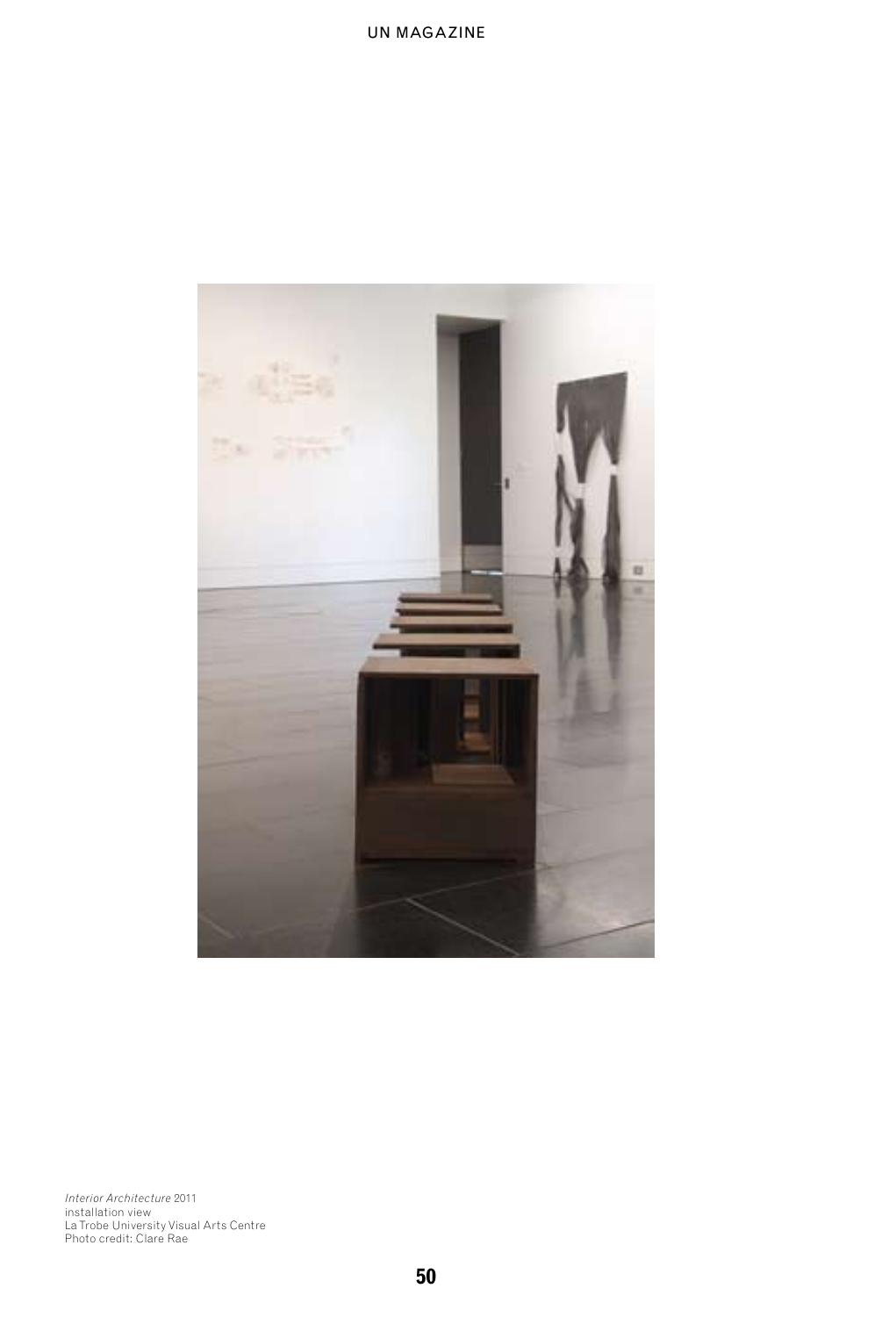

*Interior Architecture* 2011<br>installation view<br>La Trobe University Visual Arts Centre<br>Photo credit: Clare Rae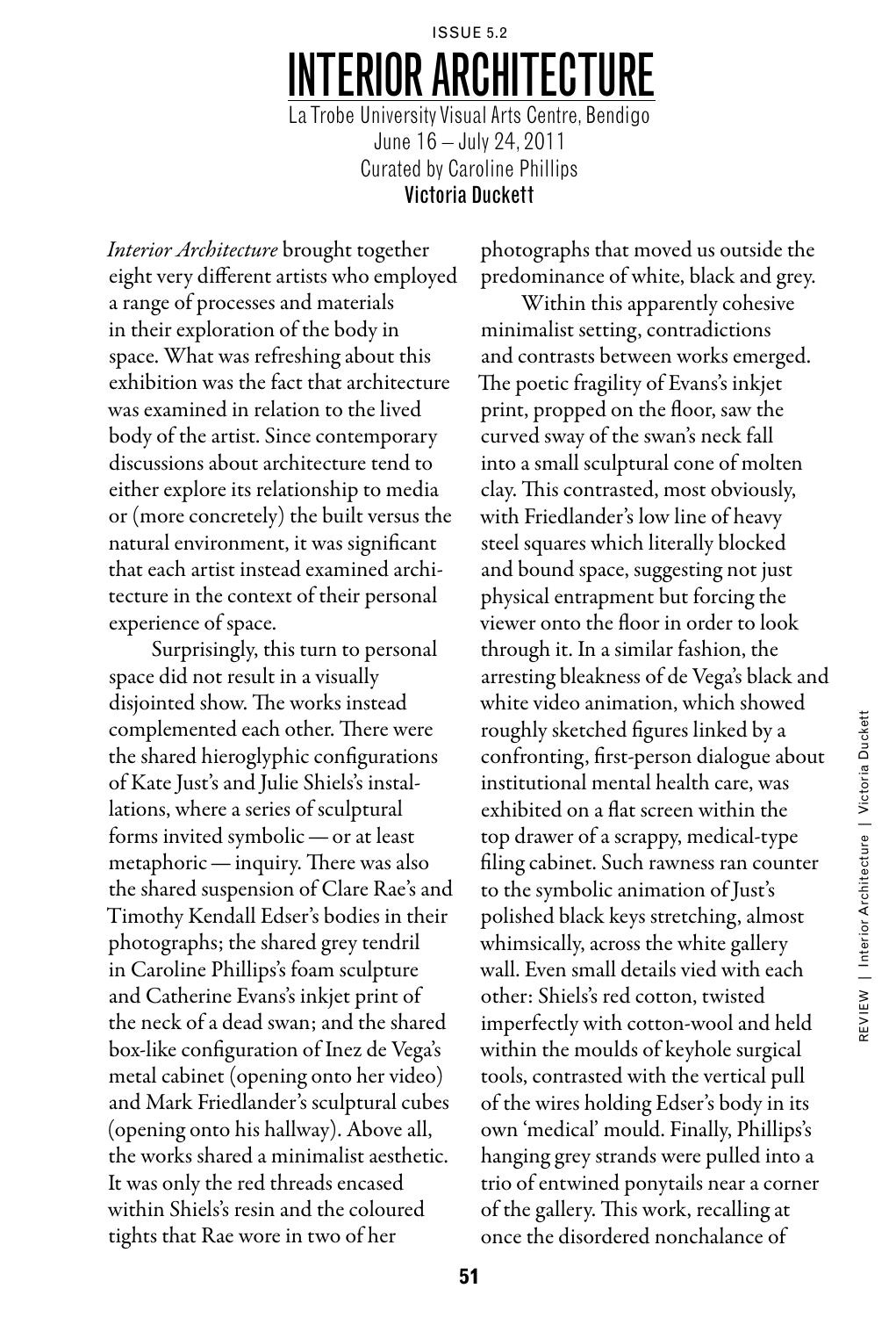# issue 5.2 Interior Architecture La Trobe University Visual Arts Centre, Bendigo June 16 – July 24, 2011 Curated by Caroline Phillips Victoria Duckett

*Interior Architecture* brought together eight very different artists who employed a range of processes and materials in their exploration of the body in space. What was refreshing about this exhibition was the fact that architecture was examined in relation to the lived body of the artist. Since contemporary discussions about architecture tend to either explore its relationship to media or (more concretely) the built versus the natural environment, it was significant that each artist instead examined architecture in the context of their personal experience of space.

Surprisingly, this turn to personal space did not result in a visually disjointed show. The works instead complemented each other. There were the shared hieroglyphic configurations of Kate Just's and Julie Shiels's installations, where a series of sculptural forms invited symbolic — or at least metaphoric — inquiry. There was also the shared suspension of Clare Rae's and Timothy Kendall Edser's bodies in their photographs; the shared grey tendril in Caroline Phillips's foam sculpture and Catherine Evans's inkjet print of the neck of a dead swan; and the shared box-like configuration of Inez de Vega's metal cabinet (opening onto her video) and Mark Friedlander's sculptural cubes (opening onto his hallway). Above all, the works shared a minimalist aesthetic. It was only the red threads encased within Shiels's resin and the coloured tights that Rae wore in two of her

photographs that moved us outside the predominance of white, black and grey.

Within this apparently cohesive minimalist setting, contradictions and contrasts between works emerged. The poetic fragility of Evans's inkjet print, propped on the floor, saw the curved sway of the swan's neck fall into a small sculptural cone of molten clay. This contrasted, most obviously, with Friedlander's low line of heavy steel squares which literally blocked and bound space, suggesting not just physical entrapment but forcing the viewer onto the floor in order to look through it. In a similar fashion, the arresting bleakness of de Vega's black and white video animation, which showed roughly sketched figures linked by a confronting, first-person dialogue about institutional mental health care, was exhibited on a flat screen within the top drawer of a scrappy, medical-type filing cabinet. Such rawness ran counter to the symbolic animation of Just's polished black keys stretching, almost whimsically, across the white gallery wall. Even small details vied with each other: Shiels's red cotton, twisted imperfectly with cotton-wool and held within the moulds of keyhole surgical tools, contrasted with the vertical pull of the wires holding Edser's body in its own 'medical' mould. Finally, Phillips's hanging grey strands were pulled into a trio of entwined ponytails near a corner of the gallery. This work, recalling at once the disordered nonchalance of